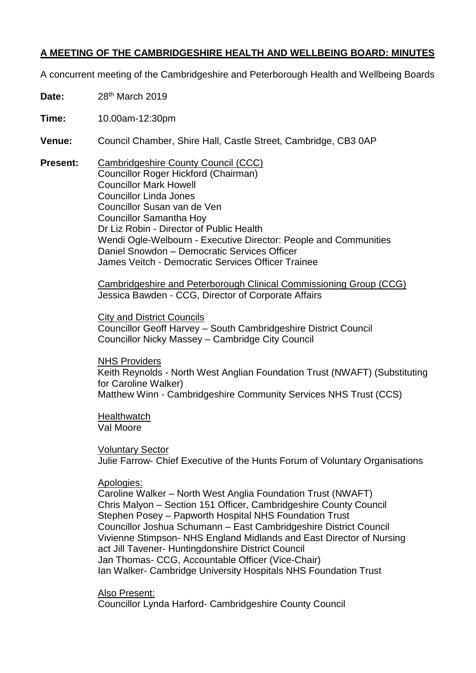# **A MEETING OF THE CAMBRIDGESHIRE HEALTH AND WELLBEING BOARD: MINUTES**

A concurrent meeting of the Cambridgeshire and Peterborough Health and Wellbeing Boards

**Date:** 28th March 2019

**Time:** 10.00am-12:30pm

- **Venue:** Council Chamber, Shire Hall, Castle Street, Cambridge, CB3 0AP
- **Present:** Cambridgeshire County Council (CCC) Councillor Roger Hickford (Chairman) Councillor Mark Howell Councillor Linda Jones Councillor Susan van de Ven Councillor Samantha Hoy Dr Liz Robin - Director of Public Health Wendi Ogle-Welbourn - Executive Director: People and Communities Daniel Snowdon – Democratic Services Officer James Veitch - Democratic Services Officer Trainee

Cambridgeshire and Peterborough Clinical Commissioning Group (CCG) Jessica Bawden - CCG, Director of Corporate Affairs

City and District Councils Councillor Geoff Harvey – South Cambridgeshire District Council Councillor Nicky Massey – Cambridge City Council

NHS Providers Keith Reynolds - North West Anglian Foundation Trust (NWAFT) (Substituting for Caroline Walker) Matthew Winn - Cambridgeshire Community Services NHS Trust (CCS)

**Healthwatch** Val Moore

Voluntary Sector Julie Farrow- Chief Executive of the Hunts Forum of Voluntary Organisations

Apologies:

Caroline Walker – North West Anglia Foundation Trust (NWAFT) Chris Malyon – Section 151 Officer, Cambridgeshire County Council Stephen Posey – Papworth Hospital NHS Foundation Trust Councillor Joshua Schumann – East Cambridgeshire District Council Vivienne Stimpson- NHS England Midlands and East Director of Nursing act Jill Tavener- Huntingdonshire District Council Jan Thomas- CCG, Accountable Officer (Vice-Chair) Ian Walker- Cambridge University Hospitals NHS Foundation Trust

Also Present:

Councillor Lynda Harford- Cambridgeshire County Council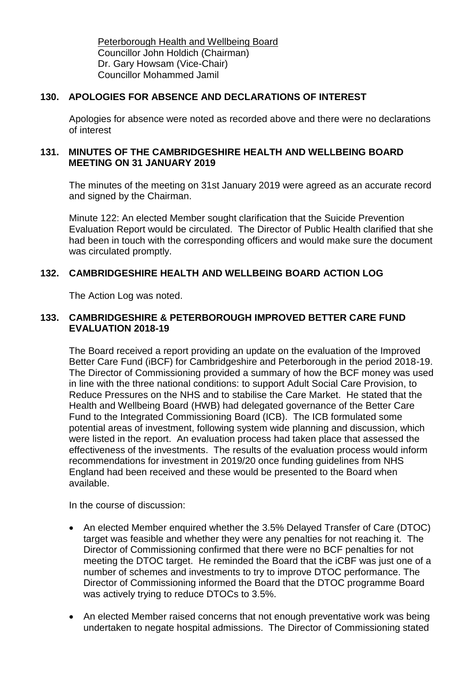Peterborough Health and Wellbeing Board Councillor John Holdich (Chairman) Dr. Gary Howsam (Vice-Chair) Councillor Mohammed Jamil

## **130. APOLOGIES FOR ABSENCE AND DECLARATIONS OF INTEREST**

Apologies for absence were noted as recorded above and there were no declarations of interest

## **131. MINUTES OF THE CAMBRIDGESHIRE HEALTH AND WELLBEING BOARD MEETING ON 31 JANUARY 2019**

The minutes of the meeting on 31st January 2019 were agreed as an accurate record and signed by the Chairman.

Minute 122: An elected Member sought clarification that the Suicide Prevention Evaluation Report would be circulated. The Director of Public Health clarified that she had been in touch with the corresponding officers and would make sure the document was circulated promptly.

# **132. CAMBRIDGESHIRE HEALTH AND WELLBEING BOARD ACTION LOG**

The Action Log was noted.

# **133. CAMBRIDGESHIRE & PETERBOROUGH IMPROVED BETTER CARE FUND EVALUATION 2018-19**

The Board received a report providing an update on the evaluation of the Improved Better Care Fund (iBCF) for Cambridgeshire and Peterborough in the period 2018-19. The Director of Commissioning provided a summary of how the BCF money was used in line with the three national conditions: to support Adult Social Care Provision, to Reduce Pressures on the NHS and to stabilise the Care Market. He stated that the Health and Wellbeing Board (HWB) had delegated governance of the Better Care Fund to the Integrated Commissioning Board (ICB). The ICB formulated some potential areas of investment, following system wide planning and discussion, which were listed in the report. An evaluation process had taken place that assessed the effectiveness of the investments. The results of the evaluation process would inform recommendations for investment in 2019/20 once funding guidelines from NHS England had been received and these would be presented to the Board when available.

In the course of discussion:

- An elected Member enquired whether the 3.5% Delayed Transfer of Care (DTOC) target was feasible and whether they were any penalties for not reaching it. The Director of Commissioning confirmed that there were no BCF penalties for not meeting the DTOC target. He reminded the Board that the iCBF was just one of a number of schemes and investments to try to improve DTOC performance. The Director of Commissioning informed the Board that the DTOC programme Board was actively trying to reduce DTOCs to 3.5%.
- An elected Member raised concerns that not enough preventative work was being undertaken to negate hospital admissions. The Director of Commissioning stated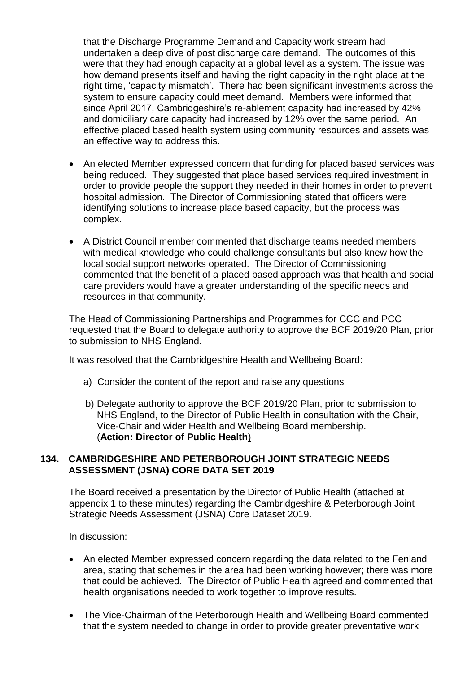that the Discharge Programme Demand and Capacity work stream had undertaken a deep dive of post discharge care demand. The outcomes of this were that they had enough capacity at a global level as a system. The issue was how demand presents itself and having the right capacity in the right place at the right time, 'capacity mismatch'. There had been significant investments across the system to ensure capacity could meet demand. Members were informed that since April 2017, Cambridgeshire's re-ablement capacity had increased by 42% and domiciliary care capacity had increased by 12% over the same period. An effective placed based health system using community resources and assets was an effective way to address this.

- An elected Member expressed concern that funding for placed based services was being reduced. They suggested that place based services required investment in order to provide people the support they needed in their homes in order to prevent hospital admission. The Director of Commissioning stated that officers were identifying solutions to increase place based capacity, but the process was complex.
- A District Council member commented that discharge teams needed members with medical knowledge who could challenge consultants but also knew how the local social support networks operated. The Director of Commissioning commented that the benefit of a placed based approach was that health and social care providers would have a greater understanding of the specific needs and resources in that community.

The Head of Commissioning Partnerships and Programmes for CCC and PCC requested that the Board to delegate authority to approve the BCF 2019/20 Plan, prior to submission to NHS England.

It was resolved that the Cambridgeshire Health and Wellbeing Board:

- a) Consider the content of the report and raise any questions
- b) Delegate authority to approve the BCF 2019/20 Plan, prior to submission to NHS England, to the Director of Public Health in consultation with the Chair, Vice-Chair and wider Health and Wellbeing Board membership. (**Action: Director of Public Health**)

## **134. CAMBRIDGESHIRE AND PETERBOROUGH JOINT STRATEGIC NEEDS ASSESSMENT (JSNA) CORE DATA SET 2019**

The Board received a presentation by the Director of Public Health (attached at appendix 1 to these minutes) regarding the Cambridgeshire & Peterborough Joint Strategic Needs Assessment (JSNA) Core Dataset 2019.

In discussion:

- An elected Member expressed concern regarding the data related to the Fenland area, stating that schemes in the area had been working however; there was more that could be achieved. The Director of Public Health agreed and commented that health organisations needed to work together to improve results.
- The Vice-Chairman of the Peterborough Health and Wellbeing Board commented that the system needed to change in order to provide greater preventative work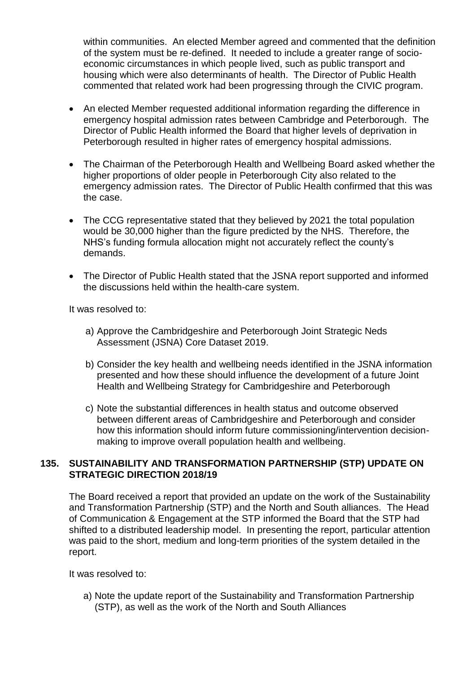within communities. An elected Member agreed and commented that the definition of the system must be re-defined. It needed to include a greater range of socioeconomic circumstances in which people lived, such as public transport and housing which were also determinants of health. The Director of Public Health commented that related work had been progressing through the CIVIC program.

- An elected Member requested additional information regarding the difference in emergency hospital admission rates between Cambridge and Peterborough. The Director of Public Health informed the Board that higher levels of deprivation in Peterborough resulted in higher rates of emergency hospital admissions.
- The Chairman of the Peterborough Health and Wellbeing Board asked whether the higher proportions of older people in Peterborough City also related to the emergency admission rates. The Director of Public Health confirmed that this was the case.
- The CCG representative stated that they believed by 2021 the total population would be 30,000 higher than the figure predicted by the NHS. Therefore, the NHS's funding formula allocation might not accurately reflect the county's demands.
- The Director of Public Health stated that the JSNA report supported and informed the discussions held within the health-care system.

It was resolved to:

- a) Approve the Cambridgeshire and Peterborough Joint Strategic Neds Assessment (JSNA) Core Dataset 2019.
- b) Consider the key health and wellbeing needs identified in the JSNA information presented and how these should influence the development of a future Joint Health and Wellbeing Strategy for Cambridgeshire and Peterborough
- c) Note the substantial differences in health status and outcome observed between different areas of Cambridgeshire and Peterborough and consider how this information should inform future commissioning/intervention decisionmaking to improve overall population health and wellbeing.

#### **135. SUSTAINABILITY AND TRANSFORMATION PARTNERSHIP (STP) UPDATE ON STRATEGIC DIRECTION 2018/19**

The Board received a report that provided an update on the work of the Sustainability and Transformation Partnership (STP) and the North and South alliances. The Head of Communication & Engagement at the STP informed the Board that the STP had shifted to a distributed leadership model. In presenting the report, particular attention was paid to the short, medium and long-term priorities of the system detailed in the report.

It was resolved to:

a) Note the update report of the Sustainability and Transformation Partnership (STP), as well as the work of the North and South Alliances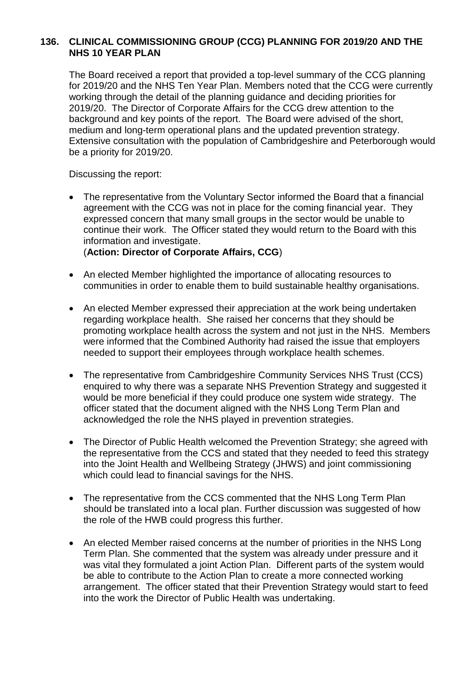## **136. CLINICAL COMMISSIONING GROUP (CCG) PLANNING FOR 2019/20 AND THE NHS 10 YEAR PLAN**

The Board received a report that provided a top-level summary of the CCG planning for 2019/20 and the NHS Ten Year Plan. Members noted that the CCG were currently working through the detail of the planning guidance and deciding priorities for 2019/20. The Director of Corporate Affairs for the CCG drew attention to the background and key points of the report. The Board were advised of the short, medium and long-term operational plans and the updated prevention strategy. Extensive consultation with the population of Cambridgeshire and Peterborough would be a priority for 2019/20.

Discussing the report:

• The representative from the Voluntary Sector informed the Board that a financial agreement with the CCG was not in place for the coming financial year. They expressed concern that many small groups in the sector would be unable to continue their work. The Officer stated they would return to the Board with this information and investigate.

(**Action: Director of Corporate Affairs, CCG**)

- An elected Member highlighted the importance of allocating resources to communities in order to enable them to build sustainable healthy organisations.
- An elected Member expressed their appreciation at the work being undertaken regarding workplace health. She raised her concerns that they should be promoting workplace health across the system and not just in the NHS. Members were informed that the Combined Authority had raised the issue that employers needed to support their employees through workplace health schemes.
- The representative from Cambridgeshire Community Services NHS Trust (CCS) enquired to why there was a separate NHS Prevention Strategy and suggested it would be more beneficial if they could produce one system wide strategy. The officer stated that the document aligned with the NHS Long Term Plan and acknowledged the role the NHS played in prevention strategies.
- The Director of Public Health welcomed the Prevention Strategy; she agreed with the representative from the CCS and stated that they needed to feed this strategy into the Joint Health and Wellbeing Strategy (JHWS) and joint commissioning which could lead to financial savings for the NHS.
- The representative from the CCS commented that the NHS Long Term Plan should be translated into a local plan. Further discussion was suggested of how the role of the HWB could progress this further.
- An elected Member raised concerns at the number of priorities in the NHS Long Term Plan. She commented that the system was already under pressure and it was vital they formulated a joint Action Plan. Different parts of the system would be able to contribute to the Action Plan to create a more connected working arrangement. The officer stated that their Prevention Strategy would start to feed into the work the Director of Public Health was undertaking.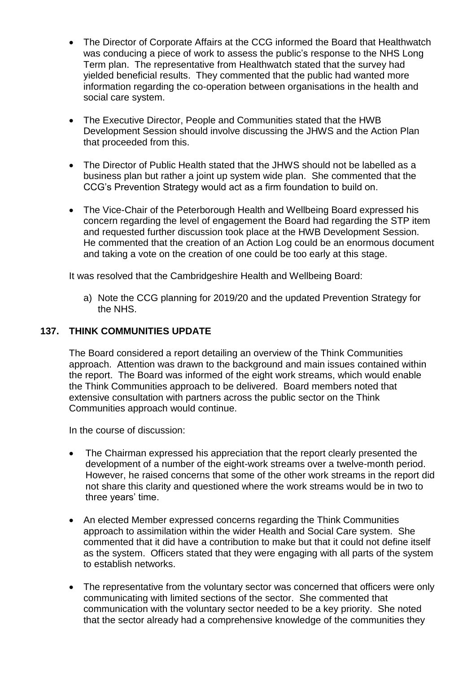- The Director of Corporate Affairs at the CCG informed the Board that Healthwatch was conducing a piece of work to assess the public's response to the NHS Long Term plan. The representative from Healthwatch stated that the survey had yielded beneficial results. They commented that the public had wanted more information regarding the co-operation between organisations in the health and social care system.
- The Executive Director, People and Communities stated that the HWB Development Session should involve discussing the JHWS and the Action Plan that proceeded from this.
- The Director of Public Health stated that the JHWS should not be labelled as a business plan but rather a joint up system wide plan. She commented that the CCG's Prevention Strategy would act as a firm foundation to build on.
- The Vice-Chair of the Peterborough Health and Wellbeing Board expressed his concern regarding the level of engagement the Board had regarding the STP item and requested further discussion took place at the HWB Development Session. He commented that the creation of an Action Log could be an enormous document and taking a vote on the creation of one could be too early at this stage.

It was resolved that the Cambridgeshire Health and Wellbeing Board:

a) Note the CCG planning for 2019/20 and the updated Prevention Strategy for the NHS.

# **137. THINK COMMUNITIES UPDATE**

The Board considered a report detailing an overview of the Think Communities approach. Attention was drawn to the background and main issues contained within the report. The Board was informed of the eight work streams, which would enable the Think Communities approach to be delivered. Board members noted that extensive consultation with partners across the public sector on the Think Communities approach would continue.

In the course of discussion:

- The Chairman expressed his appreciation that the report clearly presented the development of a number of the eight-work streams over a twelve-month period. However, he raised concerns that some of the other work streams in the report did not share this clarity and questioned where the work streams would be in two to three years' time.
- An elected Member expressed concerns regarding the Think Communities approach to assimilation within the wider Health and Social Care system. She commented that it did have a contribution to make but that it could not define itself as the system. Officers stated that they were engaging with all parts of the system to establish networks.
- The representative from the voluntary sector was concerned that officers were only communicating with limited sections of the sector. She commented that communication with the voluntary sector needed to be a key priority. She noted that the sector already had a comprehensive knowledge of the communities they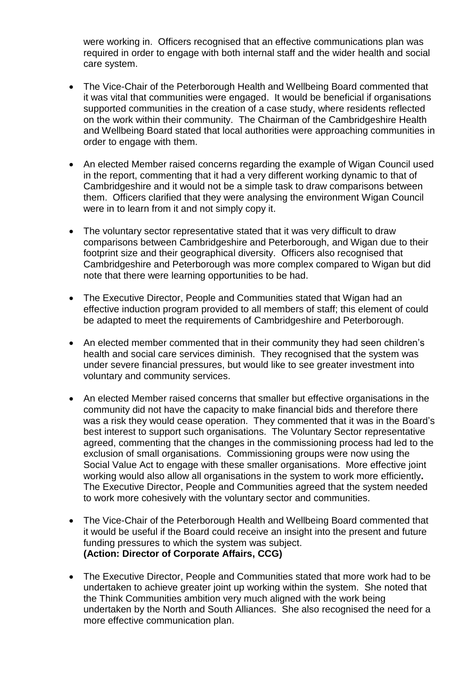were working in. Officers recognised that an effective communications plan was required in order to engage with both internal staff and the wider health and social care system.

- The Vice-Chair of the Peterborough Health and Wellbeing Board commented that it was vital that communities were engaged. It would be beneficial if organisations supported communities in the creation of a case study, where residents reflected on the work within their community. The Chairman of the Cambridgeshire Health and Wellbeing Board stated that local authorities were approaching communities in order to engage with them.
- An elected Member raised concerns regarding the example of Wigan Council used in the report, commenting that it had a very different working dynamic to that of Cambridgeshire and it would not be a simple task to draw comparisons between them. Officers clarified that they were analysing the environment Wigan Council were in to learn from it and not simply copy it.
- The voluntary sector representative stated that it was very difficult to draw comparisons between Cambridgeshire and Peterborough, and Wigan due to their footprint size and their geographical diversity. Officers also recognised that Cambridgeshire and Peterborough was more complex compared to Wigan but did note that there were learning opportunities to be had.
- The Executive Director, People and Communities stated that Wigan had an effective induction program provided to all members of staff; this element of could be adapted to meet the requirements of Cambridgeshire and Peterborough.
- An elected member commented that in their community they had seen children's health and social care services diminish. They recognised that the system was under severe financial pressures, but would like to see greater investment into voluntary and community services.
- An elected Member raised concerns that smaller but effective organisations in the community did not have the capacity to make financial bids and therefore there was a risk they would cease operation. They commented that it was in the Board's best interest to support such organisations. The Voluntary Sector representative agreed, commenting that the changes in the commissioning process had led to the exclusion of small organisations. Commissioning groups were now using the Social Value Act to engage with these smaller organisations. More effective joint working would also allow all organisations in the system to work more efficiently**.**  The Executive Director, People and Communities agreed that the system needed to work more cohesively with the voluntary sector and communities.
- The Vice-Chair of the Peterborough Health and Wellbeing Board commented that it would be useful if the Board could receive an insight into the present and future funding pressures to which the system was subject. **(Action: Director of Corporate Affairs, CCG)**
- The Executive Director, People and Communities stated that more work had to be undertaken to achieve greater joint up working within the system. She noted that the Think Communities ambition very much aligned with the work being undertaken by the North and South Alliances. She also recognised the need for a more effective communication plan.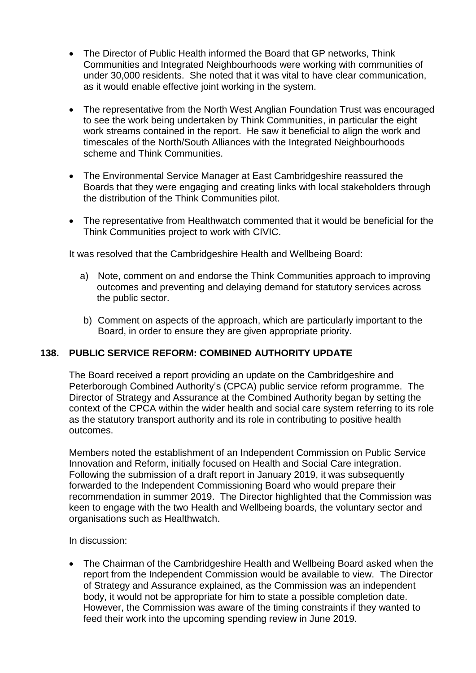- The Director of Public Health informed the Board that GP networks, Think Communities and Integrated Neighbourhoods were working with communities of under 30,000 residents. She noted that it was vital to have clear communication, as it would enable effective joint working in the system.
- The representative from the North West Anglian Foundation Trust was encouraged to see the work being undertaken by Think Communities, in particular the eight work streams contained in the report. He saw it beneficial to align the work and timescales of the North/South Alliances with the Integrated Neighbourhoods scheme and Think Communities.
- The Environmental Service Manager at East Cambridgeshire reassured the Boards that they were engaging and creating links with local stakeholders through the distribution of the Think Communities pilot.
- The representative from Healthwatch commented that it would be beneficial for the Think Communities project to work with CIVIC.

It was resolved that the Cambridgeshire Health and Wellbeing Board:

- a) Note, comment on and endorse the Think Communities approach to improving outcomes and preventing and delaying demand for statutory services across the public sector.
- b) Comment on aspects of the approach, which are particularly important to the Board, in order to ensure they are given appropriate priority.

# **138. PUBLIC SERVICE REFORM: COMBINED AUTHORITY UPDATE**

The Board received a report providing an update on the Cambridgeshire and Peterborough Combined Authority's (CPCA) public service reform programme. The Director of Strategy and Assurance at the Combined Authority began by setting the context of the CPCA within the wider health and social care system referring to its role as the statutory transport authority and its role in contributing to positive health outcomes.

Members noted the establishment of an Independent Commission on Public Service Innovation and Reform, initially focused on Health and Social Care integration. Following the submission of a draft report in January 2019, it was subsequently forwarded to the Independent Commissioning Board who would prepare their recommendation in summer 2019. The Director highlighted that the Commission was keen to engage with the two Health and Wellbeing boards, the voluntary sector and organisations such as Healthwatch.

In discussion:

 The Chairman of the Cambridgeshire Health and Wellbeing Board asked when the report from the Independent Commission would be available to view. The Director of Strategy and Assurance explained, as the Commission was an independent body, it would not be appropriate for him to state a possible completion date. However, the Commission was aware of the timing constraints if they wanted to feed their work into the upcoming spending review in June 2019.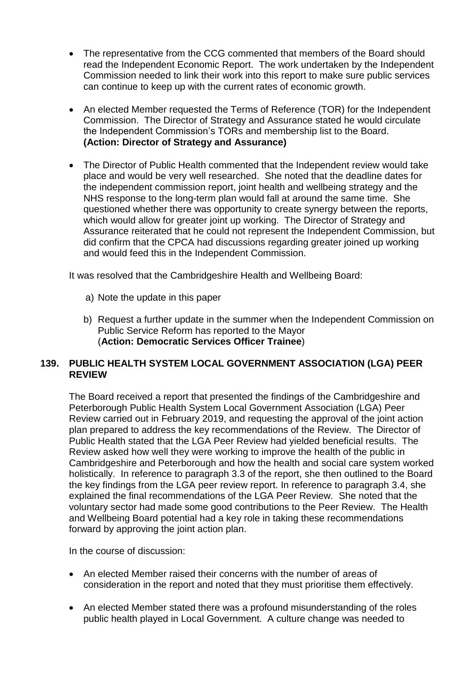- The representative from the CCG commented that members of the Board should read the Independent Economic Report. The work undertaken by the Independent Commission needed to link their work into this report to make sure public services can continue to keep up with the current rates of economic growth.
- An elected Member requested the Terms of Reference (TOR) for the Independent Commission. The Director of Strategy and Assurance stated he would circulate the Independent Commission's TORs and membership list to the Board. **(Action: Director of Strategy and Assurance)**
- The Director of Public Health commented that the Independent review would take place and would be very well researched. She noted that the deadline dates for the independent commission report, joint health and wellbeing strategy and the NHS response to the long-term plan would fall at around the same time. She questioned whether there was opportunity to create synergy between the reports, which would allow for greater joint up working. The Director of Strategy and Assurance reiterated that he could not represent the Independent Commission, but did confirm that the CPCA had discussions regarding greater joined up working and would feed this in the Independent Commission.

It was resolved that the Cambridgeshire Health and Wellbeing Board:

- a) Note the update in this paper
- b) Request a further update in the summer when the Independent Commission on Public Service Reform has reported to the Mayor (**Action: Democratic Services Officer Trainee**)

## **139. PUBLIC HEALTH SYSTEM LOCAL GOVERNMENT ASSOCIATION (LGA) PEER REVIEW**

The Board received a report that presented the findings of the Cambridgeshire and Peterborough Public Health System Local Government Association (LGA) Peer Review carried out in February 2019, and requesting the approval of the joint action plan prepared to address the key recommendations of the Review. The Director of Public Health stated that the LGA Peer Review had yielded beneficial results. The Review asked how well they were working to improve the health of the public in Cambridgeshire and Peterborough and how the health and social care system worked holistically. In reference to paragraph 3.3 of the report, she then outlined to the Board the key findings from the LGA peer review report. In reference to paragraph 3.4, she explained the final recommendations of the LGA Peer Review. She noted that the voluntary sector had made some good contributions to the Peer Review. The Health and Wellbeing Board potential had a key role in taking these recommendations forward by approving the joint action plan.

In the course of discussion:

- An elected Member raised their concerns with the number of areas of consideration in the report and noted that they must prioritise them effectively.
- An elected Member stated there was a profound misunderstanding of the roles public health played in Local Government. A culture change was needed to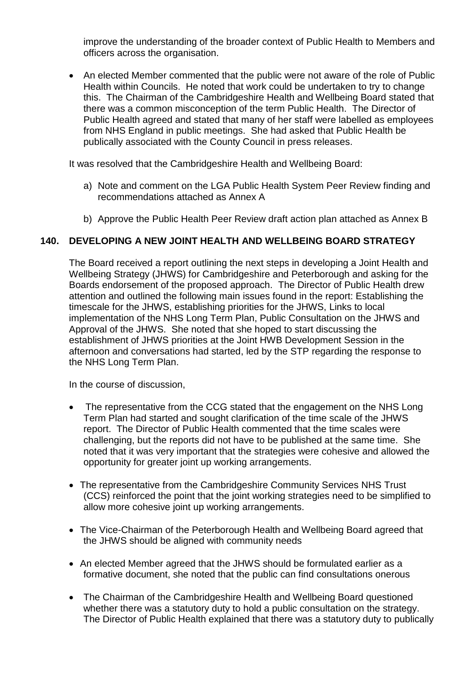improve the understanding of the broader context of Public Health to Members and officers across the organisation.

 An elected Member commented that the public were not aware of the role of Public Health within Councils. He noted that work could be undertaken to try to change this. The Chairman of the Cambridgeshire Health and Wellbeing Board stated that there was a common misconception of the term Public Health. The Director of Public Health agreed and stated that many of her staff were labelled as employees from NHS England in public meetings. She had asked that Public Health be publically associated with the County Council in press releases.

It was resolved that the Cambridgeshire Health and Wellbeing Board:

- a) Note and comment on the LGA Public Health System Peer Review finding and recommendations attached as Annex A
- b) Approve the Public Health Peer Review draft action plan attached as Annex B

#### **140. DEVELOPING A NEW JOINT HEALTH AND WELLBEING BOARD STRATEGY**

The Board received a report outlining the next steps in developing a Joint Health and Wellbeing Strategy (JHWS) for Cambridgeshire and Peterborough and asking for the Boards endorsement of the proposed approach. The Director of Public Health drew attention and outlined the following main issues found in the report: Establishing the timescale for the JHWS, establishing priorities for the JHWS, Links to local implementation of the NHS Long Term Plan, Public Consultation on the JHWS and Approval of the JHWS. She noted that she hoped to start discussing the establishment of JHWS priorities at the Joint HWB Development Session in the afternoon and conversations had started, led by the STP regarding the response to the NHS Long Term Plan.

In the course of discussion,

- The representative from the CCG stated that the engagement on the NHS Long Term Plan had started and sought clarification of the time scale of the JHWS report. The Director of Public Health commented that the time scales were challenging, but the reports did not have to be published at the same time. She noted that it was very important that the strategies were cohesive and allowed the opportunity for greater joint up working arrangements.
- The representative from the Cambridgeshire Community Services NHS Trust (CCS) reinforced the point that the joint working strategies need to be simplified to allow more cohesive joint up working arrangements.
- The Vice-Chairman of the Peterborough Health and Wellbeing Board agreed that the JHWS should be aligned with community needs
- An elected Member agreed that the JHWS should be formulated earlier as a formative document, she noted that the public can find consultations onerous
- The Chairman of the Cambridgeshire Health and Wellbeing Board questioned whether there was a statutory duty to hold a public consultation on the strategy. The Director of Public Health explained that there was a statutory duty to publically